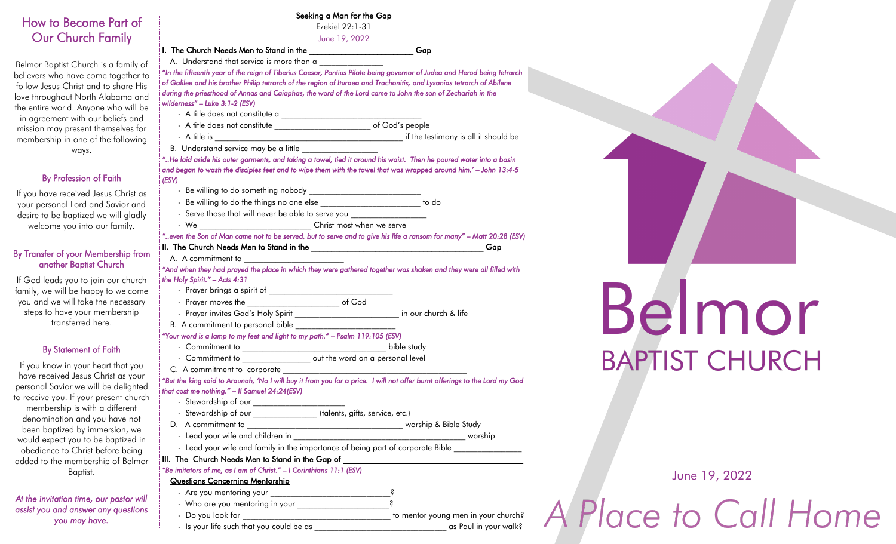### How to Become Part of Our Church Family

Belmor Baptist Church is a family of believers who have come together to follow Jesus Christ and to share His love throughout North Alabama and the entire world. Anyone who will be in agreement with our beliefs and mission may present themselves for membership in one of the following ways.

### By Profession of Faith

If you have received Jesus Christ as your personal Lord and Savior and desire to be baptized we will gladly welcome you into our family.

### By Transfer of your Membership from another Baptist Church

If God leads you to join our church family, we will be happy to welcome you and we will take the necessary steps to have your membership transferred here.

### By Statement of Faith

If you know in your heart that you have received Jesus Christ as your personal Savior we will be delighted to receive you. If your present church membership is with a different denomination and you have not been baptized by immersion, we would expect you to be baptized in obedience to Christ before being added to the membership of Belmor Baptist.

*At the invitation time, our pastor will assist you and answer any questions you may have.* 

|                                                                                                                                              | Seeking a Man for the Gap<br>Ezekiel 22:1-31                                                                                                                                                                                                     |
|----------------------------------------------------------------------------------------------------------------------------------------------|--------------------------------------------------------------------------------------------------------------------------------------------------------------------------------------------------------------------------------------------------|
|                                                                                                                                              | June 19, 2022                                                                                                                                                                                                                                    |
|                                                                                                                                              | Gap                                                                                                                                                                                                                                              |
| A. Understand that service is more than a                                                                                                    |                                                                                                                                                                                                                                                  |
| during the priesthood of Annas and Caiaphas, the word of the Lord came to John the son of Zechariah in the<br>wilderness" - Luke 3:1-2 (ESV) | "In the fifteenth year of the reign of Tiberius Caesar, Pontius Pilate being governor of Judea and Herod being tetrarch<br>of Galilee and his brother Philip tetrarch of the region of Ituraea and Trachonitis, and Lysanias tetrarch of Abilene |
|                                                                                                                                              |                                                                                                                                                                                                                                                  |
| - A title does not constitute ______________________________ of God's people                                                                 |                                                                                                                                                                                                                                                  |
|                                                                                                                                              |                                                                                                                                                                                                                                                  |
|                                                                                                                                              |                                                                                                                                                                                                                                                  |
| (ESV)                                                                                                                                        | "He laid aside his outer garments, and taking a towel, tied it around his waist. Then he poured water into a basin<br>and began to wash the disciples feet and to wipe them with the towel that was wrapped around him.' - John 13:4-5           |
| - Be willing to do something nobody _____________________________                                                                            |                                                                                                                                                                                                                                                  |
| - Be willing to do the things no one else _________________________ to do                                                                    |                                                                                                                                                                                                                                                  |
| - Serve those that will never be able to serve you _____________________________                                                             |                                                                                                                                                                                                                                                  |
|                                                                                                                                              |                                                                                                                                                                                                                                                  |
|                                                                                                                                              | "even the Son of Man came not to be served, but to serve and to give his life a ransom for many" - Matt 20:28 (ESV)                                                                                                                              |
|                                                                                                                                              | Gap                                                                                                                                                                                                                                              |
| the Holy Spirit." $-$ Acts 4:31                                                                                                              |                                                                                                                                                                                                                                                  |
| - Prayer moves the _______________________________ of God                                                                                    |                                                                                                                                                                                                                                                  |
| - Prayer invites God's Holy Spirit ____________________________ in our church & life                                                         |                                                                                                                                                                                                                                                  |
|                                                                                                                                              |                                                                                                                                                                                                                                                  |
| "Your word is a lamp to my feet and light to my path." - Psalm 119:105 (ESV)                                                                 |                                                                                                                                                                                                                                                  |
|                                                                                                                                              |                                                                                                                                                                                                                                                  |
| - Commitment to __________________ out the word on a personal level                                                                          |                                                                                                                                                                                                                                                  |
| C. A commitment to corporate                                                                                                                 |                                                                                                                                                                                                                                                  |
|                                                                                                                                              | "But the king said to Araunah, 'No I will buy it from you for a price. I will not offer burnt offerings to the Lord my God                                                                                                                       |
| that cost me nothing." - Il Samuel 24:24(ESV)<br>- Stewardship of our                                                                        |                                                                                                                                                                                                                                                  |
|                                                                                                                                              |                                                                                                                                                                                                                                                  |
| - Stewardship of our __________________ (talents, gifts, service, etc.)                                                                      |                                                                                                                                                                                                                                                  |
|                                                                                                                                              |                                                                                                                                                                                                                                                  |
|                                                                                                                                              |                                                                                                                                                                                                                                                  |
|                                                                                                                                              | - Lead your wife and family in the importance of being part of corporate Bible ____________________                                                                                                                                              |
|                                                                                                                                              |                                                                                                                                                                                                                                                  |
| "Be imitators of me, as I am of Christ." - I Corinthians 11:1 (ESV)                                                                          |                                                                                                                                                                                                                                                  |
| <b>Questions Concerning Mentorship</b>                                                                                                       |                                                                                                                                                                                                                                                  |
|                                                                                                                                              |                                                                                                                                                                                                                                                  |
|                                                                                                                                              |                                                                                                                                                                                                                                                  |
|                                                                                                                                              | to mentor young men in your church?                                                                                                                                                                                                              |

- Is your life such that you could be as \_\_\_\_\_\_\_\_\_\_\_\_\_\_\_\_\_\_\_\_\_\_\_\_\_\_\_\_\_\_\_\_\_ as Paul in your walk?

June 19, 2022

Belmor

**BAPTIST CHURCH** 

Place to Call Home